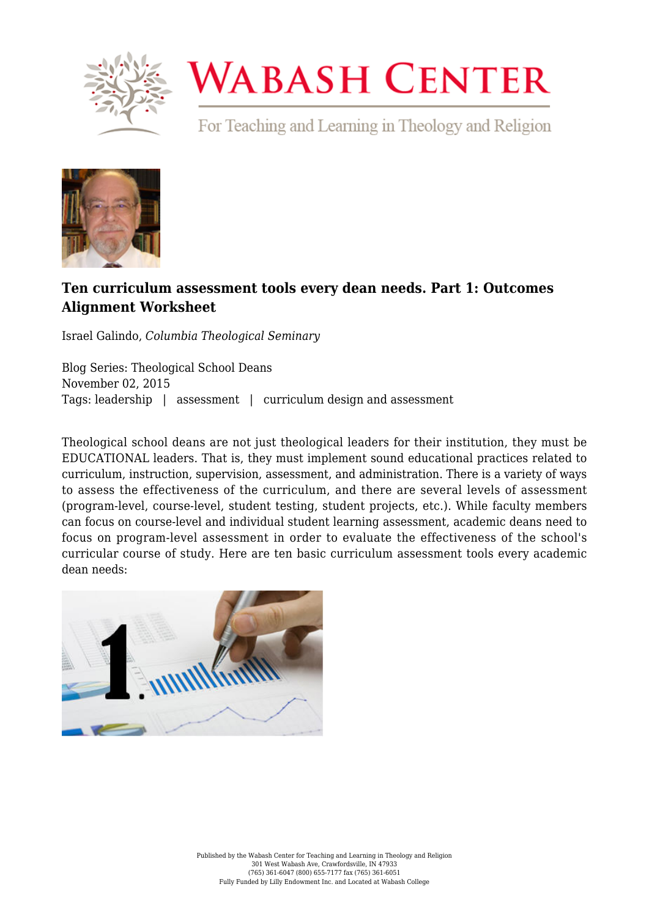

## **WABASH CENTER**

For Teaching and Learning in Theology and Religion



## **[Ten curriculum assessment tools every dean needs. Part 1: Outcomes](https://www.wabashcenter.wabash.edu/2015/11/ten-curriculum-assessment-tools-every-dean-needs-part-1-outcomes-alignment-worksheet/) [Alignment Worksheet](https://www.wabashcenter.wabash.edu/2015/11/ten-curriculum-assessment-tools-every-dean-needs-part-1-outcomes-alignment-worksheet/)**

Israel Galindo, *Columbia Theological Seminary*

Blog Series: Theological School Deans November 02, 2015 Tags: leadership | assessment | curriculum design and assessment

Theological school deans are not just theological leaders for their institution, they must be EDUCATIONAL leaders. That is, they must implement sound educational practices related to curriculum, instruction, supervision, assessment, and administration. There is a variety of ways to assess the effectiveness of the curriculum, and there are several levels of assessment (program-level, course-level, student testing, student projects, etc.). While faculty members can focus on course-level and individual student learning assessment, academic deans need to focus on program-level assessment in order to evaluate the effectiveness of the school's curricular course of study. Here are ten basic curriculum assessment tools every academic dean needs: